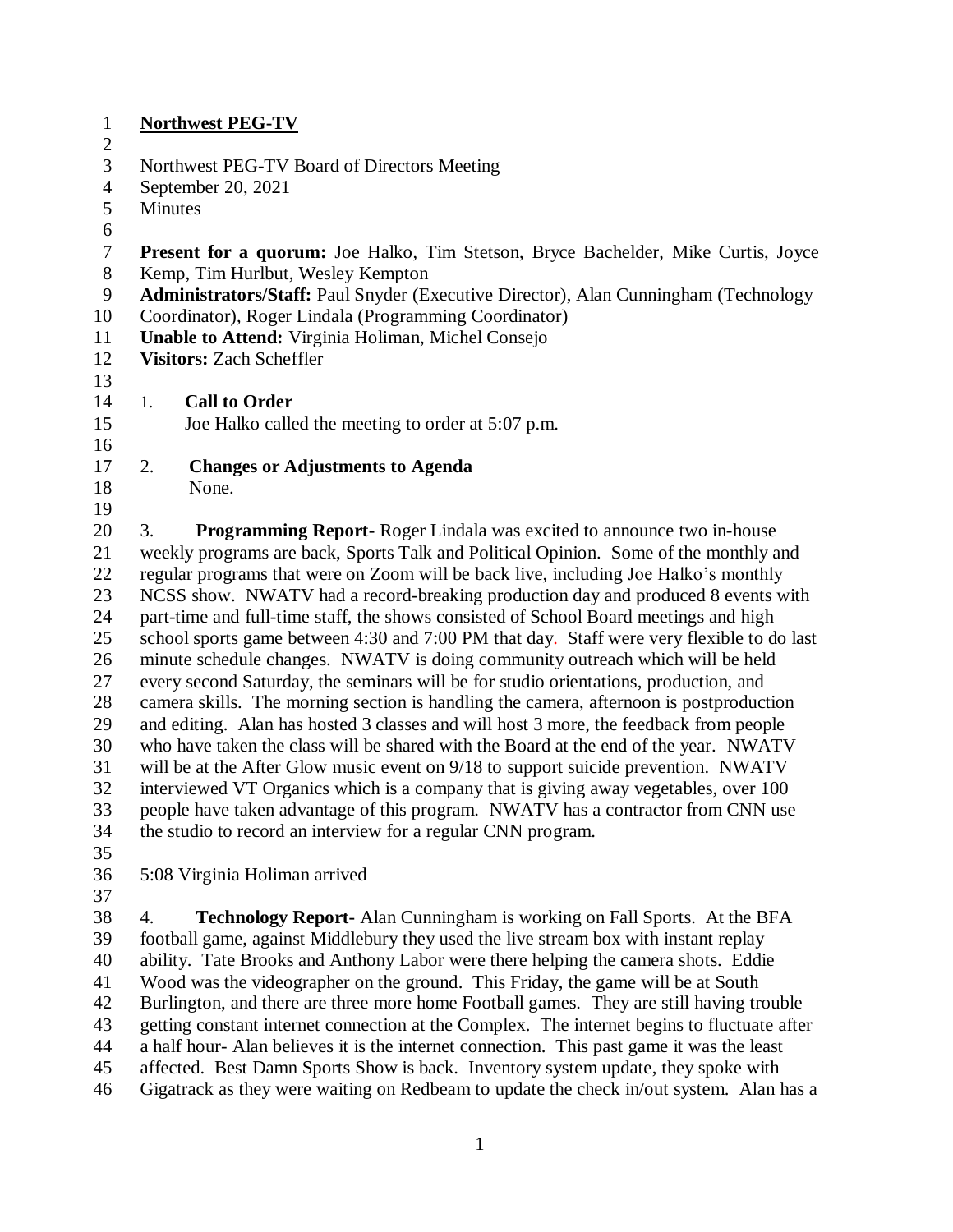| $\mathbf{1}$   | <b>Northwest PEG-TV</b>                                                                                                                                                                                                                                                                                                                                  |  |  |
|----------------|----------------------------------------------------------------------------------------------------------------------------------------------------------------------------------------------------------------------------------------------------------------------------------------------------------------------------------------------------------|--|--|
| $\overline{2}$ |                                                                                                                                                                                                                                                                                                                                                          |  |  |
| 3              | Northwest PEG-TV Board of Directors Meeting                                                                                                                                                                                                                                                                                                              |  |  |
| $\overline{4}$ | September 20, 2021                                                                                                                                                                                                                                                                                                                                       |  |  |
| 5              | <b>Minutes</b>                                                                                                                                                                                                                                                                                                                                           |  |  |
| 6              |                                                                                                                                                                                                                                                                                                                                                          |  |  |
| $\overline{7}$ | Present for a quorum: Joe Halko, Tim Stetson, Bryce Bachelder, Mike Curtis, Joyce                                                                                                                                                                                                                                                                        |  |  |
| 8              | Kemp, Tim Hurlbut, Wesley Kempton                                                                                                                                                                                                                                                                                                                        |  |  |
| 9              | Administrators/Staff: Paul Snyder (Executive Director), Alan Cunningham (Technology                                                                                                                                                                                                                                                                      |  |  |
| 10             | Coordinator), Roger Lindala (Programming Coordinator)                                                                                                                                                                                                                                                                                                    |  |  |
| 11             | <b>Unable to Attend: Virginia Holiman, Michel Consejo</b>                                                                                                                                                                                                                                                                                                |  |  |
| 12             | <b>Visitors: Zach Scheffler</b>                                                                                                                                                                                                                                                                                                                          |  |  |
| 13             |                                                                                                                                                                                                                                                                                                                                                          |  |  |
| 14             | 1.<br><b>Call to Order</b>                                                                                                                                                                                                                                                                                                                               |  |  |
| 15             | Joe Halko called the meeting to order at 5:07 p.m.                                                                                                                                                                                                                                                                                                       |  |  |
| 16             |                                                                                                                                                                                                                                                                                                                                                          |  |  |
| 17             | <b>Changes or Adjustments to Agenda</b><br>2.                                                                                                                                                                                                                                                                                                            |  |  |
| 18             | None.                                                                                                                                                                                                                                                                                                                                                    |  |  |
| 19<br>20       | <b>Programming Report-</b> Roger Lindala was excited to announce two in-house<br>3.                                                                                                                                                                                                                                                                      |  |  |
| 21             | weekly programs are back, Sports Talk and Political Opinion. Some of the monthly and                                                                                                                                                                                                                                                                     |  |  |
| 22             | regular programs that were on Zoom will be back live, including Joe Halko's monthly                                                                                                                                                                                                                                                                      |  |  |
| 23             | NCSS show. NWATV had a record-breaking production day and produced 8 events with                                                                                                                                                                                                                                                                         |  |  |
| 24             | part-time and full-time staff, the shows consisted of School Board meetings and high                                                                                                                                                                                                                                                                     |  |  |
| 25             | school sports game between 4:30 and 7:00 PM that day. Staff were very flexible to do last                                                                                                                                                                                                                                                                |  |  |
| 26             |                                                                                                                                                                                                                                                                                                                                                          |  |  |
| 27             |                                                                                                                                                                                                                                                                                                                                                          |  |  |
| 28             |                                                                                                                                                                                                                                                                                                                                                          |  |  |
| 29             | minute schedule changes. NWATV is doing community outreach which will be held<br>every second Saturday, the seminars will be for studio orientations, production, and<br>camera skills. The morning section is handling the camera, afternoon is postproduction<br>and editing. Alan has hosted 3 classes and will host 3 more, the feedback from people |  |  |
| 30             |                                                                                                                                                                                                                                                                                                                                                          |  |  |
| 31             | who have taken the class will be shared with the Board at the end of the year. NWATV<br>will be at the After Glow music event on 9/18 to support suicide prevention. NWATV                                                                                                                                                                               |  |  |
| 32             | interviewed VT Organics which is a company that is giving away vegetables, over 100                                                                                                                                                                                                                                                                      |  |  |
| 33             | people have taken advantage of this program. NWATV has a contractor from CNN use                                                                                                                                                                                                                                                                         |  |  |
| 34             | the studio to record an interview for a regular CNN program.                                                                                                                                                                                                                                                                                             |  |  |
| 35             |                                                                                                                                                                                                                                                                                                                                                          |  |  |
| 36             | 5:08 Virginia Holiman arrived                                                                                                                                                                                                                                                                                                                            |  |  |
| 37             |                                                                                                                                                                                                                                                                                                                                                          |  |  |

 4. **Technology Report-** Alan Cunningham is working on Fall Sports. At the BFA football game, against Middlebury they used the live stream box with instant replay ability. Tate Brooks and Anthony Labor were there helping the camera shots. Eddie Wood was the videographer on the ground. This Friday, the game will be at South Burlington, and there are three more home Football games. They are still having trouble getting constant internet connection at the Complex. The internet begins to fluctuate after a half hour- Alan believes it is the internet connection. This past game it was the least affected. Best Damn Sports Show is back. Inventory system update, they spoke with Gigatrack as they were waiting on Redbeam to update the check in/out system. Alan has a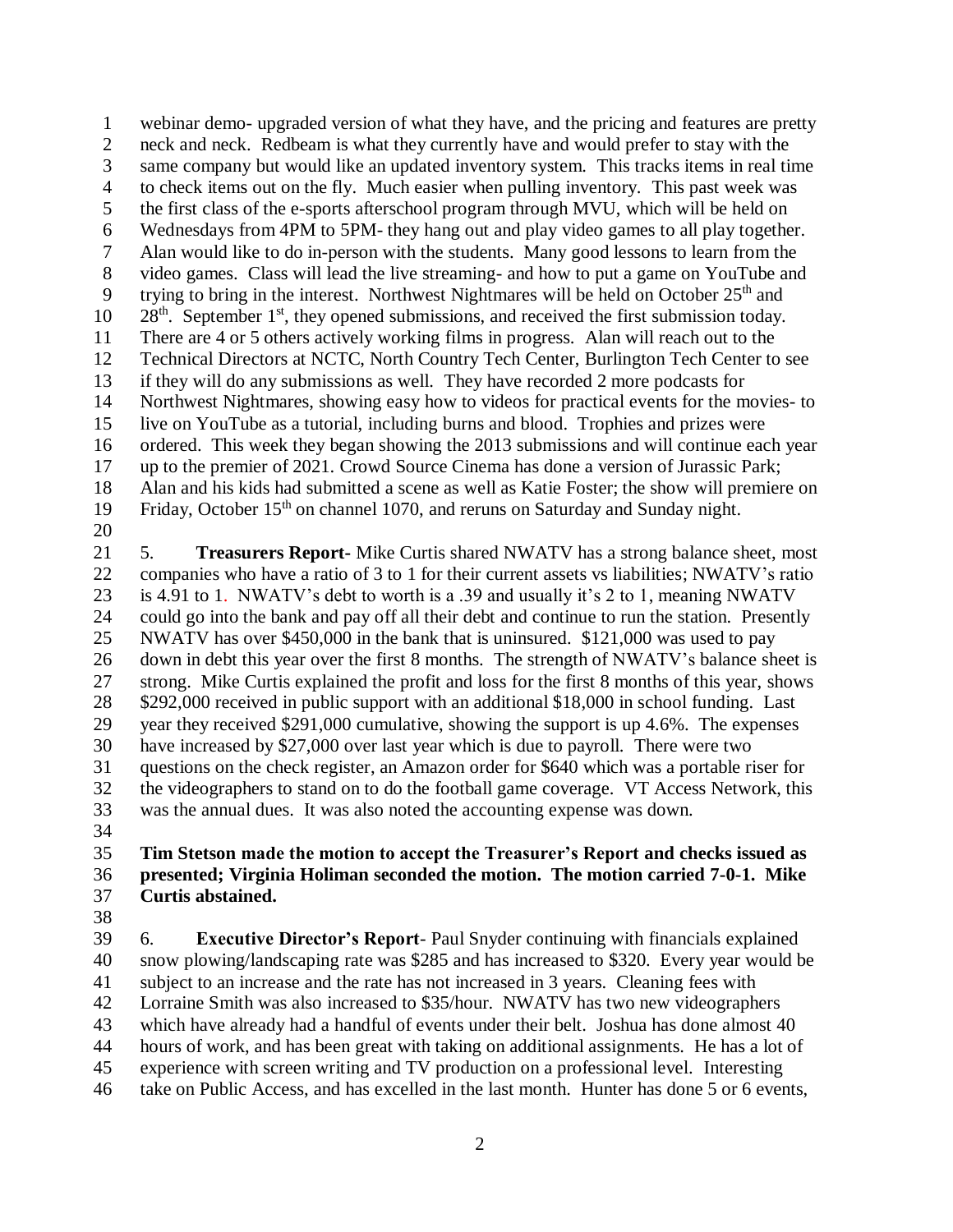webinar demo- upgraded version of what they have, and the pricing and features are pretty neck and neck. Redbeam is what they currently have and would prefer to stay with the same company but would like an updated inventory system. This tracks items in real time to check items out on the fly. Much easier when pulling inventory. This past week was the first class of the e-sports afterschool program through MVU, which will be held on Wednesdays from 4PM to 5PM- they hang out and play video games to all play together. Alan would like to do in-person with the students. Many good lessons to learn from the video games. Class will lead the live streaming- and how to put a game on YouTube and 9 trying to bring in the interest. Northwest Nightmares will be held on October  $25<sup>th</sup>$  and 10 28<sup>th</sup>. September 1<sup>st</sup>, they opened submissions, and received the first submission today. There are 4 or 5 others actively working films in progress. Alan will reach out to the 12 Technical Directors at NCTC, North Country Tech Center, Burlington Tech Center to see if they will do any submissions as well. They have recorded 2 more podcasts for Northwest Nightmares, showing easy how to videos for practical events for the movies- to live on YouTube as a tutorial, including burns and blood. Trophies and prizes were ordered. This week they began showing the 2013 submissions and will continue each year up to the premier of 2021. Crowd Source Cinema has done a version of Jurassic Park; Alan and his kids had submitted a scene as well as Katie Foster; the show will premiere on 19 Friday, October  $15<sup>th</sup>$  on channel 1070, and reruns on Saturday and Sunday night. 

 5. **Treasurers Report-** Mike Curtis shared NWATV has a strong balance sheet, most companies who have a ratio of 3 to 1 for their current assets vs liabilities; NWATV's ratio is 4.91 to 1. NWATV's debt to worth is a .39 and usually it's 2 to 1, meaning NWATV could go into the bank and pay off all their debt and continue to run the station. Presently NWATV has over \$450,000 in the bank that is uninsured. \$121,000 was used to pay down in debt this year over the first 8 months. The strength of NWATV's balance sheet is strong. Mike Curtis explained the profit and loss for the first 8 months of this year, shows \$292,000 received in public support with an additional \$18,000 in school funding. Last year they received \$291,000 cumulative, showing the support is up 4.6%. The expenses have increased by \$27,000 over last year which is due to payroll. There were two questions on the check register, an Amazon order for \$640 which was a portable riser for the videographers to stand on to do the football game coverage. VT Access Network, this was the annual dues. It was also noted the accounting expense was down.

## **Tim Stetson made the motion to accept the Treasurer's Report and checks issued as presented; Virginia Holiman seconded the motion. The motion carried 7-0-1. Mike Curtis abstained.**

 6. **Executive Director's Report**- Paul Snyder continuing with financials explained snow plowing/landscaping rate was \$285 and has increased to \$320. Every year would be subject to an increase and the rate has not increased in 3 years. Cleaning fees with Lorraine Smith was also increased to \$35/hour. NWATV has two new videographers which have already had a handful of events under their belt. Joshua has done almost 40 hours of work, and has been great with taking on additional assignments. He has a lot of experience with screen writing and TV production on a professional level. Interesting take on Public Access, and has excelled in the last month. Hunter has done 5 or 6 events,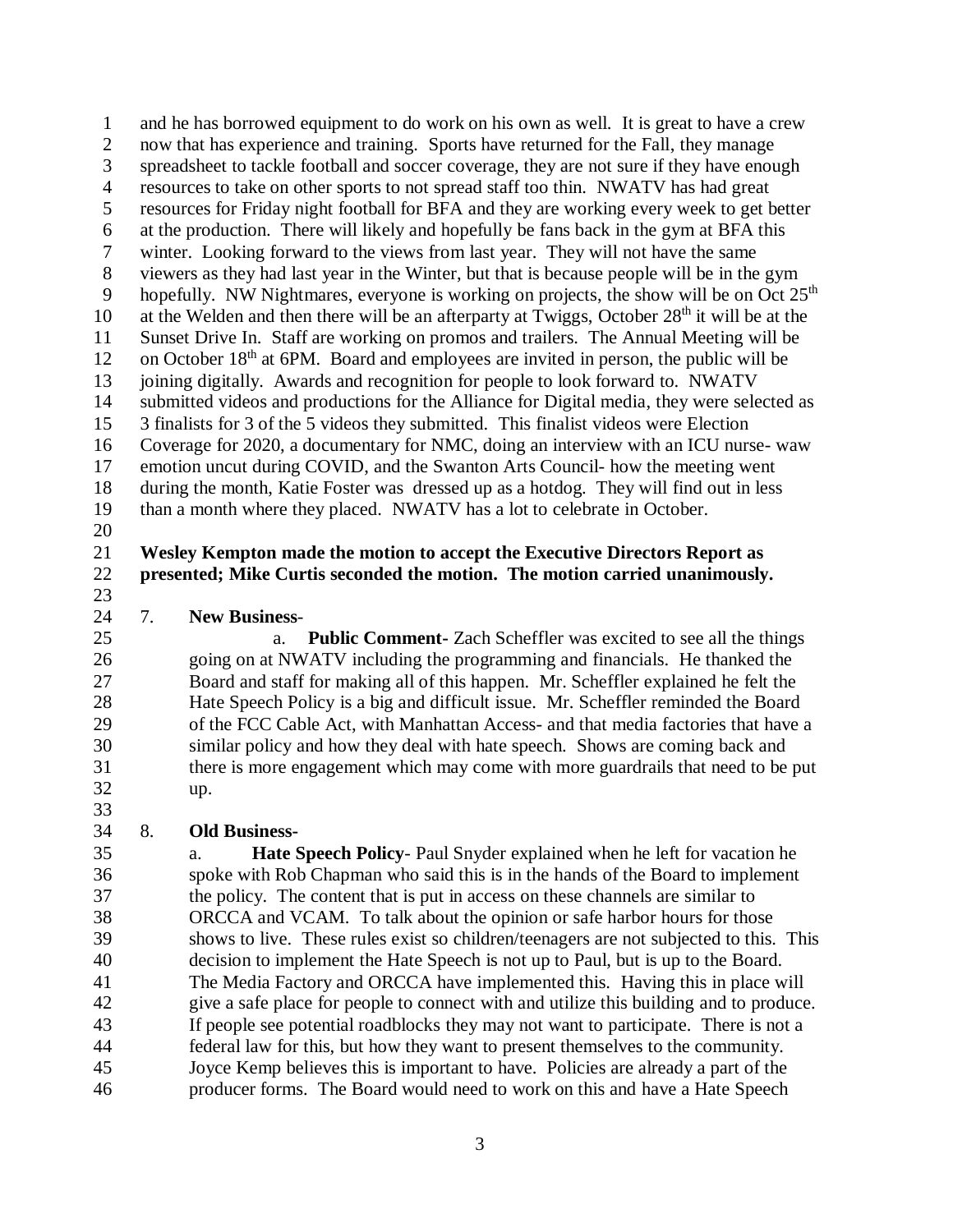and he has borrowed equipment to do work on his own as well. It is great to have a crew now that has experience and training. Sports have returned for the Fall, they manage spreadsheet to tackle football and soccer coverage, they are not sure if they have enough resources to take on other sports to not spread staff too thin. NWATV has had great resources for Friday night football for BFA and they are working every week to get better at the production. There will likely and hopefully be fans back in the gym at BFA this winter. Looking forward to the views from last year. They will not have the same viewers as they had last year in the Winter, but that is because people will be in the gym 9 hopefully. NW Nightmares, everyone is working on projects, the show will be on Oct  $25<sup>th</sup>$ 10 at the Welden and then there will be an afterparty at Twiggs, October  $28<sup>th</sup>$  it will be at the Sunset Drive In. Staff are working on promos and trailers. The Annual Meeting will be 12 on October  $18<sup>th</sup>$  at 6PM. Board and employees are invited in person, the public will be joining digitally. Awards and recognition for people to look forward to. NWATV submitted videos and productions for the Alliance for Digital media, they were selected as 3 finalists for 3 of the 5 videos they submitted. This finalist videos were Election Coverage for 2020, a documentary for NMC, doing an interview with an ICU nurse- waw emotion uncut during COVID, and the Swanton Arts Council- how the meeting went during the month, Katie Foster was dressed up as a hotdog. They will find out in less than a month where they placed. NWATV has a lot to celebrate in October.

- 
- 

## **Wesley Kempton made the motion to accept the Executive Directors Report as presented; Mike Curtis seconded the motion. The motion carried unanimously.**

7. **New Business**-

 a. **Public Comment-** Zach Scheffler was excited to see all the things going on at NWATV including the programming and financials. He thanked the Board and staff for making all of this happen. Mr. Scheffler explained he felt the Hate Speech Policy is a big and difficult issue. Mr. Scheffler reminded the Board of the FCC Cable Act, with Manhattan Access- and that media factories that have a similar policy and how they deal with hate speech. Shows are coming back and there is more engagement which may come with more guardrails that need to be put up.

8. **Old Business-**

 a. **Hate Speech Policy**- Paul Snyder explained when he left for vacation he spoke with Rob Chapman who said this is in the hands of the Board to implement the policy. The content that is put in access on these channels are similar to ORCCA and VCAM. To talk about the opinion or safe harbor hours for those shows to live. These rules exist so children/teenagers are not subjected to this. This decision to implement the Hate Speech is not up to Paul, but is up to the Board. The Media Factory and ORCCA have implemented this. Having this in place will give a safe place for people to connect with and utilize this building and to produce. If people see potential roadblocks they may not want to participate. There is not a federal law for this, but how they want to present themselves to the community. Joyce Kemp believes this is important to have. Policies are already a part of the producer forms. The Board would need to work on this and have a Hate Speech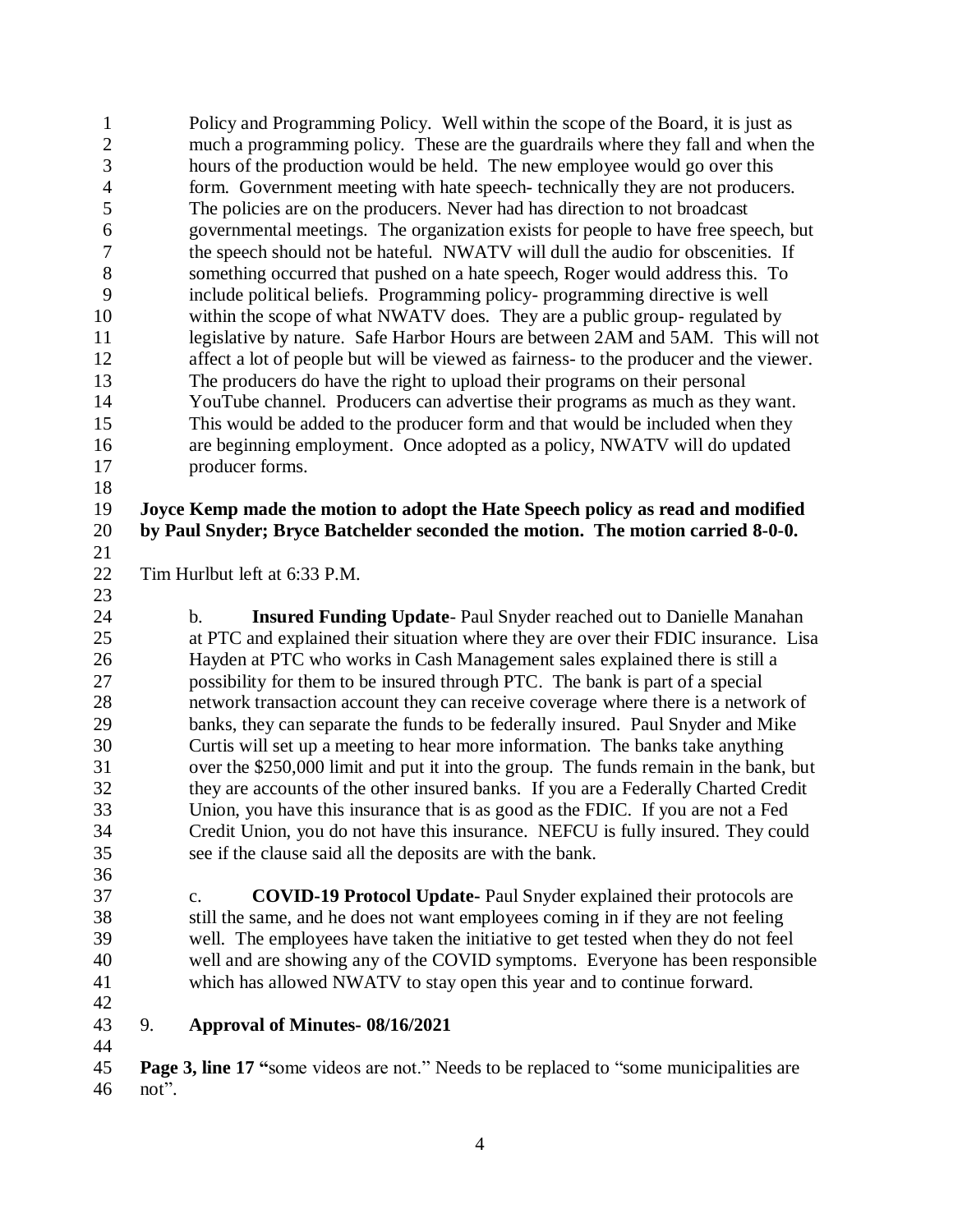Policy and Programming Policy. Well within the scope of the Board, it is just as much a programming policy. These are the guardrails where they fall and when the hours of the production would be held. The new employee would go over this form. Government meeting with hate speech- technically they are not producers. The policies are on the producers. Never had has direction to not broadcast governmental meetings. The organization exists for people to have free speech, but the speech should not be hateful. NWATV will dull the audio for obscenities. If something occurred that pushed on a hate speech, Roger would address this. To include political beliefs. Programming policy- programming directive is well within the scope of what NWATV does. They are a public group- regulated by 11 legislative by nature. Safe Harbor Hours are between 2AM and 5AM. This will not affect a lot of people but will be viewed as fairness- to the producer and the viewer. The producers do have the right to upload their programs on their personal YouTube channel. Producers can advertise their programs as much as they want. This would be added to the producer form and that would be included when they are beginning employment. Once adopted as a policy, NWATV will do updated producer forms. 

## **Joyce Kemp made the motion to adopt the Hate Speech policy as read and modified by Paul Snyder; Bryce Batchelder seconded the motion. The motion carried 8-0-0.**

Tim Hurlbut left at 6:33 P.M.

 b. **Insured Funding Update**- Paul Snyder reached out to Danielle Manahan at PTC and explained their situation where they are over their FDIC insurance. Lisa Hayden at PTC who works in Cash Management sales explained there is still a possibility for them to be insured through PTC. The bank is part of a special network transaction account they can receive coverage where there is a network of banks, they can separate the funds to be federally insured. Paul Snyder and Mike Curtis will set up a meeting to hear more information. The banks take anything over the \$250,000 limit and put it into the group. The funds remain in the bank, but they are accounts of the other insured banks. If you are a Federally Charted Credit Union, you have this insurance that is as good as the FDIC. If you are not a Fed Credit Union, you do not have this insurance. NEFCU is fully insured. They could see if the clause said all the deposits are with the bank.

 c. **COVID-19 Protocol Update-** Paul Snyder explained their protocols are still the same, and he does not want employees coming in if they are not feeling well. The employees have taken the initiative to get tested when they do not feel well and are showing any of the COVID symptoms. Everyone has been responsible which has allowed NWATV to stay open this year and to continue forward.

## 9. **Approval of Minutes- 08/16/2021**

 **Page 3, line 17 "**some videos are not." Needs to be replaced to "some municipalities are not".